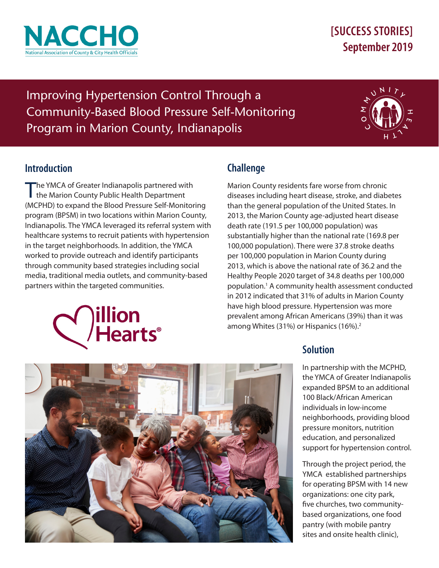

# **[SUCCESS STORIES] September 2019**

Improving Hypertension Control Through a Community-Based Blood Pressure Self-Monitoring Program in Marion County, Indianapolis



# **Introduction**

The YMCA of Greater Indianapolis partnered with I the Marion County Public Health Department (MCPHD) to expand the Blood Pressure Self-Monitoring program (BPSM) in two locations within Marion County, Indianapolis. The YMCA leveraged its referral system with healthcare systems to recruit patients with hypertension in the target neighborhoods. In addition, the YMCA worked to provide outreach and identify participants through community based strategies including social media, traditional media outlets, and community-based partners within the targeted communities.

# illion **Hearts**®

# **Challenge**

Marion County residents fare worse from chronic diseases including heart disease, stroke, and diabetes than the general population of the United States. In 2013, the Marion County age-adjusted heart disease death rate (191.5 per 100,000 population) was substantially higher than the national rate (169.8 per 100,000 population). There were 37.8 stroke deaths per 100,000 population in Marion County during 2013, which is above the national rate of 36.2 and the Healthy People 2020 target of 34.8 deaths per 100,000 population.1 A community health assessment conducted in 2012 indicated that 31% of adults in Marion County have high blood pressure. Hypertension was more prevalent among African Americans (39%) than it was among Whites (31%) or Hispanics (16%).<sup>2</sup>



In partnership with the MCPHD, the YMCA of Greater Indianapolis expanded BPSM to an additional 100 Black/African American individuals in low-income neighborhoods, providing blood pressure monitors, nutrition education, and personalized support for hypertension control.

Through the project period, the YMCA established partnerships for operating BPSM with 14 new organizations: one city park, five churches, two communitybased organizations, one food pantry (with mobile pantry sites and onsite health clinic),